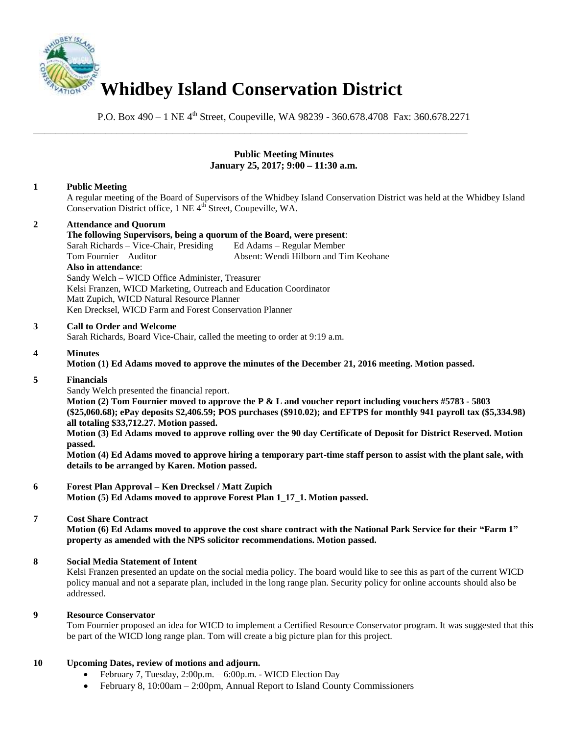

P.O. Box 490 – 1 NE 4<sup>th</sup> Street, Coupeville, WA 98239 - 360.678.4708 Fax: 360.678.2271

\_\_\_\_\_\_\_\_\_\_\_\_\_\_\_\_\_\_\_\_\_\_\_\_\_\_\_\_\_\_\_\_\_\_\_\_\_\_\_\_\_\_\_\_\_\_\_\_\_\_\_\_\_\_\_\_\_\_\_\_\_\_\_\_\_\_\_\_\_\_\_\_\_\_\_\_\_\_

### **Public Meeting Minutes January 25, 2017; 9:00 – 11:30 a.m.**

## **1 Public Meeting**

A regular meeting of the Board of Supervisors of the Whidbey Island Conservation District was held at the Whidbey Island Conservation District office, 1 NE 4<sup>th</sup> Street, Coupeville, WA.

# **2 Attendance and Quorum**

**The following Supervisors, being a quorum of the Board, were present**:

Sarah Richards – Vice-Chair, Presiding Ed Adams – Regular Member Tom Fournier – Auditor Absent: Wendi Hilborn and Tim Keohane **Also in attendance**: Sandy Welch – WICD Office Administer, Treasurer Kelsi Franzen, WICD Marketing, Outreach and Education Coordinator Matt Zupich, WICD Natural Resource Planner Ken Drecksel, WICD Farm and Forest Conservation Planner

### **3 Call to Order and Welcome**

Sarah Richards, Board Vice-Chair, called the meeting to order at 9:19 a.m.

## **4 Minutes**

**Motion (1) Ed Adams moved to approve the minutes of the December 21, 2016 meeting. Motion passed.** 

### **5 Financials**

Sandy Welch presented the financial report.

**Motion (2) Tom Fournier moved to approve the P & L and voucher report including vouchers #5783 - 5803 (\$25,060.68); ePay deposits \$2,406.59; POS purchases (\$910.02); and EFTPS for monthly 941 payroll tax (\$5,334.98) all totaling \$33,712.27. Motion passed.** 

**Motion (3) Ed Adams moved to approve rolling over the 90 day Certificate of Deposit for District Reserved. Motion passed.** 

**Motion (4) Ed Adams moved to approve hiring a temporary part-time staff person to assist with the plant sale, with details to be arranged by Karen. Motion passed.** 

## **6 Forest Plan Approval – Ken Drecksel / Matt Zupich**

**Motion (5) Ed Adams moved to approve Forest Plan 1\_17\_1. Motion passed.** 

### **7 Cost Share Contract**

**Motion (6) Ed Adams moved to approve the cost share contract with the National Park Service for their "Farm 1" property as amended with the NPS solicitor recommendations. Motion passed.** 

### **8 Social Media Statement of Intent**

Kelsi Franzen presented an update on the social media policy. The board would like to see this as part of the current WICD policy manual and not a separate plan, included in the long range plan. Security policy for online accounts should also be addressed.

### **9 Resource Conservator**

Tom Fournier proposed an idea for WICD to implement a Certified Resource Conservator program. It was suggested that this be part of the WICD long range plan. Tom will create a big picture plan for this project.

### **10 Upcoming Dates, review of motions and adjourn.**

- February 7, Tuesday, 2:00p.m. 6:00p.m. WICD Election Day
- February 8, 10:00am 2:00pm, Annual Report to Island County Commissioners